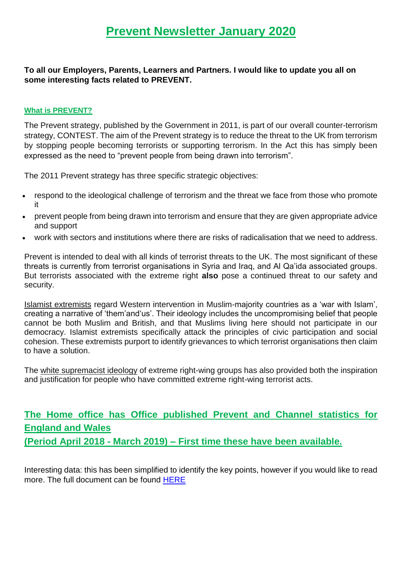**To all our Employers, Parents, Learners and Partners. I would like to update you all on some interesting facts related to PREVENT.**

#### **What is PREVENT?**

The Prevent strategy, published by the Government in 2011, is part of our overall counter-terrorism strategy, CONTEST. The aim of the Prevent strategy is to reduce the threat to the UK from terrorism by stopping people becoming terrorists or supporting terrorism. In the Act this has simply been expressed as the need to "prevent people from being drawn into terrorism".

The 2011 Prevent strategy has three specific strategic objectives:

- respond to the ideological challenge of terrorism and the threat we face from those who promote it
- prevent people from being drawn into terrorism and ensure that they are given appropriate advice and support
- work with sectors and institutions where there are risks of radicalisation that we need to address.

Prevent is intended to deal with all kinds of terrorist threats to the UK. The most significant of these threats is currently from terrorist organisations in Syria and Iraq, and Al Qa'ida associated groups. But terrorists associated with the extreme right **also** pose a continued threat to our safety and security.

Islamist extremists regard Western intervention in Muslim-majority countries as a 'war with Islam', creating a narrative of 'them'and'us'. Their ideology includes the uncompromising belief that people cannot be both Muslim and British, and that Muslims living here should not participate in our democracy. Islamist extremists specifically attack the principles of civic participation and social cohesion. These extremists purport to identify grievances to which terrorist organisations then claim to have a solution.

The white supremacist ideology of extreme right-wing groups has also provided both the inspiration and justification for people who have committed extreme right-wing terrorist acts.

# **The Home office has Office published Prevent and Channel statistics for England and Wales (Period April 2018 - March 2019) – First time these have been available.**

Interesting data: this has been simplified to identify the key points, however if you would like to read more. The full document can be found [HERE](https://assets.publishing.service.gov.uk/government/uploads/system/uploads/attachment_data/file/853646/individuals-referred-supported-prevent-programme-apr2018-mar2019-hosb3219.pdf)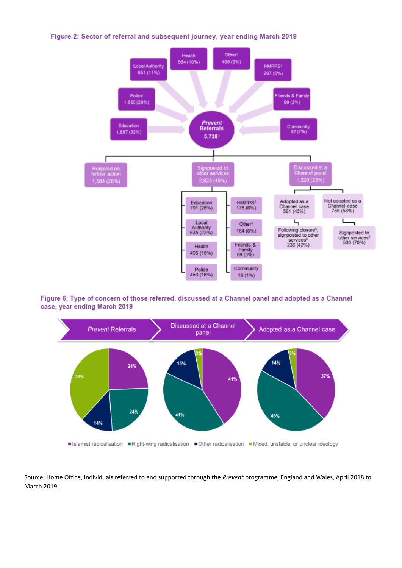Figure 2: Sector of referral and subsequent journey, year ending March 2019



Figure 6: Type of concern of those referred, discussed at a Channel panel and adopted as a Channel case, year ending March 2019



Source: Home Office, Individuals referred to and supported through the *Prevent* programme, England and Wales, April 2018 to March 2019.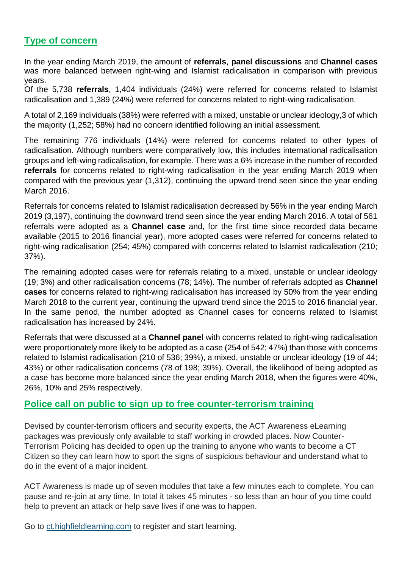## **Type of concern**

In the year ending March 2019, the amount of **referrals**, **panel discussions** and **Channel cases**  was more balanced between right-wing and Islamist radicalisation in comparison with previous years.

Of the 5,738 **referrals**, 1,404 individuals (24%) were referred for concerns related to Islamist radicalisation and 1,389 (24%) were referred for concerns related to right-wing radicalisation.

A total of 2,169 individuals (38%) were referred with a mixed, unstable or unclear ideology,3 of which the majority (1,252; 58%) had no concern identified following an initial assessment.

The remaining 776 individuals (14%) were referred for concerns related to other types of radicalisation. Although numbers were comparatively low, this includes international radicalisation groups and left-wing radicalisation, for example. There was a 6% increase in the number of recorded **referrals** for concerns related to right-wing radicalisation in the year ending March 2019 when compared with the previous year (1,312), continuing the upward trend seen since the year ending March 2016.

Referrals for concerns related to Islamist radicalisation decreased by 56% in the year ending March 2019 (3,197), continuing the downward trend seen since the year ending March 2016. A total of 561 referrals were adopted as a **Channel case** and, for the first time since recorded data became available (2015 to 2016 financial year), more adopted cases were referred for concerns related to right-wing radicalisation (254; 45%) compared with concerns related to Islamist radicalisation (210; 37%).

The remaining adopted cases were for referrals relating to a mixed, unstable or unclear ideology (19; 3%) and other radicalisation concerns (78; 14%). The number of referrals adopted as **Channel cases** for concerns related to right-wing radicalisation has increased by 50% from the year ending March 2018 to the current year, continuing the upward trend since the 2015 to 2016 financial year. In the same period, the number adopted as Channel cases for concerns related to Islamist radicalisation has increased by 24%.

Referrals that were discussed at a **Channel panel** with concerns related to right-wing radicalisation were proportionately more likely to be adopted as a case (254 of 542; 47%) than those with concerns related to Islamist radicalisation (210 of 536; 39%), a mixed, unstable or unclear ideology (19 of 44; 43%) or other radicalisation concerns (78 of 198; 39%). Overall, the likelihood of being adopted as a case has become more balanced since the year ending March 2018, when the figures were 40%, 26%, 10% and 25% respectively.

### **Police call on public to sign up to free counter-terrorism training**

Devised by counter-terrorism officers and security experts, the ACT Awareness eLearning packages was previously only available to staff working in crowded places. Now Counter-Terrorism Policing has decided to open up the training to anyone who wants to become a CT Citizen so they can learn how to sport the signs of suspicious behaviour and understand what to do in the event of a major incident.

ACT Awareness is made up of seven modules that take a few minutes each to complete. You can pause and re-join at any time. In total it takes 45 minutes - so less than an hour of you time could help to prevent an attack or help save lives if one was to happen.

Go to [ct.highfieldlearning.com](https://education.us20.list-manage.com/track/click?u=d37bbbf65cfbe0fe96c871639&id=71d2ec675c&e=753b9f9524) to register and start learning.